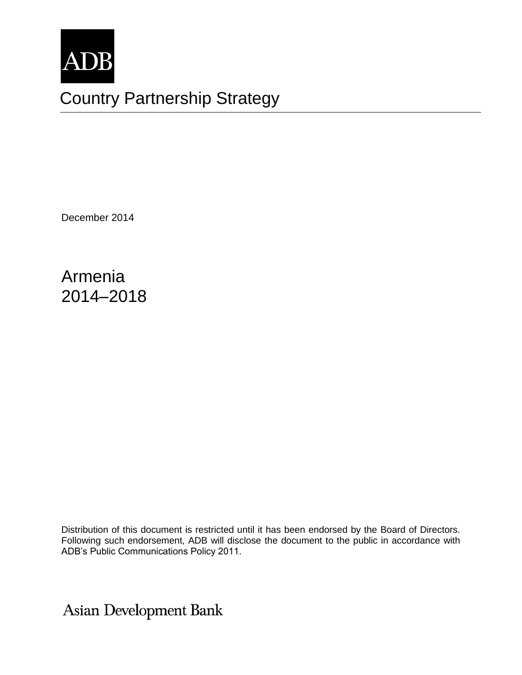

# Country Partnership Strategy

December 2014

Armenia 2014–2018

Distribution of this document is restricted until it has been endorsed by the Board of Directors. Following such endorsement, ADB will disclose the document to the public in accordance with ADB's Public Communications Policy 2011.

Asian Development Bank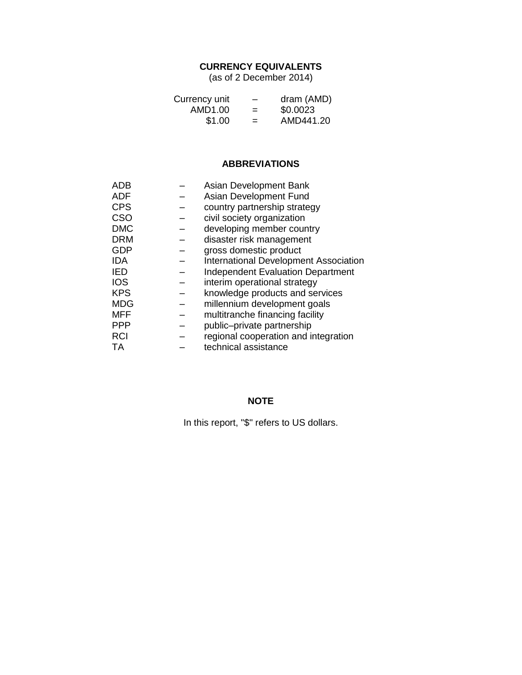## **CURRENCY EQUIVALENTS**

(as of 2 December 2014)

| Currency unit | -   | dram (AMD) |
|---------------|-----|------------|
| AMD1.00       | $=$ | \$0.0023   |
| \$1.00        | $=$ | AMD441.20  |

#### **ABBREVIATIONS**

| ADB        | Asian Development Bank                       |
|------------|----------------------------------------------|
| ADF        | Asian Development Fund                       |
| <b>CPS</b> | country partnership strategy                 |
| <b>CSO</b> | civil society organization                   |
| <b>DMC</b> | developing member country                    |
| <b>DRM</b> | disaster risk management                     |
| <b>GDP</b> | gross domestic product                       |
| <b>IDA</b> | <b>International Development Association</b> |
| IED        | <b>Independent Evaluation Department</b>     |
| <b>IOS</b> | interim operational strategy                 |
| <b>KPS</b> | knowledge products and services              |
| <b>MDG</b> | millennium development goals                 |
| <b>MFF</b> | multitranche financing facility              |
| <b>PPP</b> | public-private partnership                   |
| <b>RCI</b> | regional cooperation and integration         |
| ТA         | technical assistance                         |

## **NOTE**

In this report, "\$" refers to US dollars.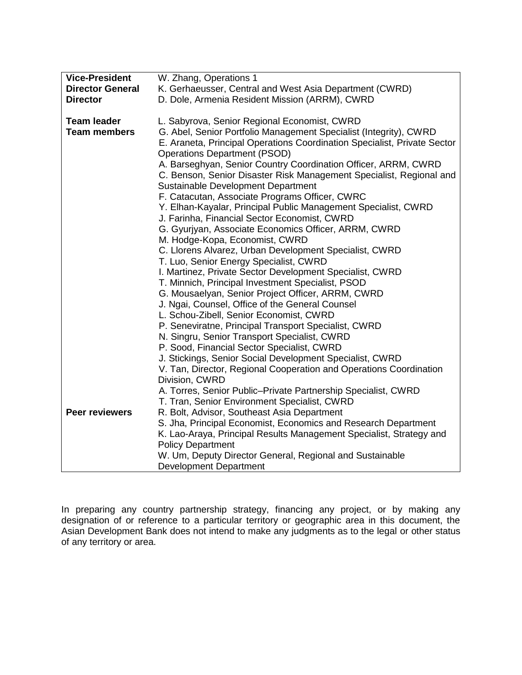| <b>Vice-President</b>   | W. Zhang, Operations 1                                                   |  |  |  |  |  |
|-------------------------|--------------------------------------------------------------------------|--|--|--|--|--|
| <b>Director General</b> | K. Gerhaeusser, Central and West Asia Department (CWRD)                  |  |  |  |  |  |
| <b>Director</b>         | D. Dole, Armenia Resident Mission (ARRM), CWRD                           |  |  |  |  |  |
|                         |                                                                          |  |  |  |  |  |
| <b>Team leader</b>      | L. Sabyrova, Senior Regional Economist, CWRD                             |  |  |  |  |  |
| <b>Team members</b>     | G. Abel, Senior Portfolio Management Specialist (Integrity), CWRD        |  |  |  |  |  |
|                         | E. Araneta, Principal Operations Coordination Specialist, Private Sector |  |  |  |  |  |
|                         | <b>Operations Department (PSOD)</b>                                      |  |  |  |  |  |
|                         | A. Barseghyan, Senior Country Coordination Officer, ARRM, CWRD           |  |  |  |  |  |
|                         | C. Benson, Senior Disaster Risk Management Specialist, Regional and      |  |  |  |  |  |
|                         | Sustainable Development Department                                       |  |  |  |  |  |
|                         | F. Catacutan, Associate Programs Officer, CWRC                           |  |  |  |  |  |
|                         | Y. Elhan-Kayalar, Principal Public Management Specialist, CWRD           |  |  |  |  |  |
|                         | J. Farinha, Financial Sector Economist, CWRD                             |  |  |  |  |  |
|                         | G. Gyurjyan, Associate Economics Officer, ARRM, CWRD                     |  |  |  |  |  |
|                         | M. Hodge-Kopa, Economist, CWRD                                           |  |  |  |  |  |
|                         | C. Llorens Alvarez, Urban Development Specialist, CWRD                   |  |  |  |  |  |
|                         | T. Luo, Senior Energy Specialist, CWRD                                   |  |  |  |  |  |
|                         | I. Martinez, Private Sector Development Specialist, CWRD                 |  |  |  |  |  |
|                         | T. Minnich, Principal Investment Specialist, PSOD                        |  |  |  |  |  |
|                         | G. Mousaelyan, Senior Project Officer, ARRM, CWRD                        |  |  |  |  |  |
|                         | J. Ngai, Counsel, Office of the General Counsel                          |  |  |  |  |  |
|                         | L. Schou-Zibell, Senior Economist, CWRD                                  |  |  |  |  |  |
|                         | P. Seneviratne, Principal Transport Specialist, CWRD                     |  |  |  |  |  |
|                         | N. Singru, Senior Transport Specialist, CWRD                             |  |  |  |  |  |
|                         | P. Sood, Financial Sector Specialist, CWRD                               |  |  |  |  |  |
|                         | J. Stickings, Senior Social Development Specialist, CWRD                 |  |  |  |  |  |
|                         | V. Tan, Director, Regional Cooperation and Operations Coordination       |  |  |  |  |  |
|                         | Division, CWRD                                                           |  |  |  |  |  |
|                         | A. Torres, Senior Public-Private Partnership Specialist, CWRD            |  |  |  |  |  |
|                         | T. Tran, Senior Environment Specialist, CWRD                             |  |  |  |  |  |
| <b>Peer reviewers</b>   | R. Bolt, Advisor, Southeast Asia Department                              |  |  |  |  |  |
|                         | S. Jha, Principal Economist, Economics and Research Department           |  |  |  |  |  |
|                         | K. Lao-Araya, Principal Results Management Specialist, Strategy and      |  |  |  |  |  |
|                         | <b>Policy Department</b>                                                 |  |  |  |  |  |
|                         | W. Um, Deputy Director General, Regional and Sustainable                 |  |  |  |  |  |
|                         | <b>Development Department</b>                                            |  |  |  |  |  |

In preparing any country partnership strategy, financing any project, or by making any designation of or reference to a particular territory or geographic area in this document, the Asian Development Bank does not intend to make any judgments as to the legal or other status of any territory or area.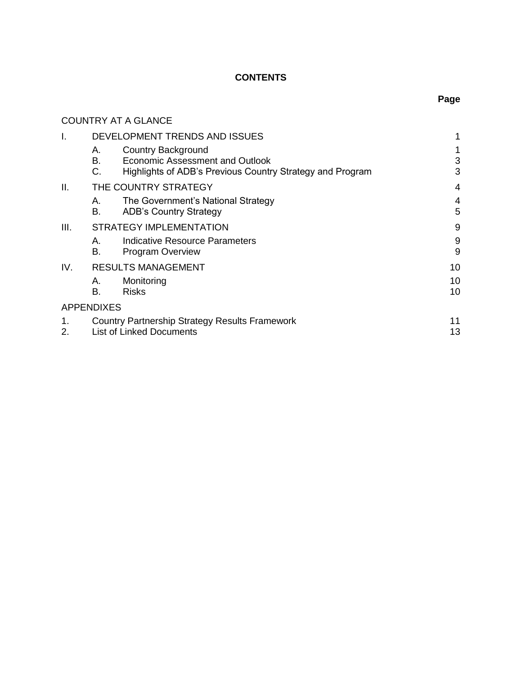# **CONTENTS**

|          | <b>COUNTRY AT A GLANCE</b>                                                                                                           |          |
|----------|--------------------------------------------------------------------------------------------------------------------------------------|----------|
| Ι.       | DEVELOPMENT TRENDS AND ISSUES                                                                                                        | 1        |
|          | Country Background<br>А.<br>B.<br>Economic Assessment and Outlook<br>C.<br>Highlights of ADB's Previous Country Strategy and Program | 3<br>3   |
| II.      | THE COUNTRY STRATEGY                                                                                                                 | 4        |
|          | The Government's National Strategy<br>Α.<br>В.<br><b>ADB's Country Strategy</b>                                                      | 4<br>5   |
| III.     | <b>STRATEGY IMPLEMENTATION</b>                                                                                                       | 9        |
|          | Indicative Resource Parameters<br>Α.<br>В.<br><b>Program Overview</b>                                                                | 9<br>9   |
| IV.      | <b>RESULTS MANAGEMENT</b>                                                                                                            | 10       |
|          | Monitoring<br>А.<br>В.<br><b>Risks</b>                                                                                               | 10<br>10 |
|          | <b>APPENDIXES</b>                                                                                                                    |          |
| 1.<br>2. | <b>Country Partnership Strategy Results Framework</b><br><b>List of Linked Documents</b>                                             | 11<br>13 |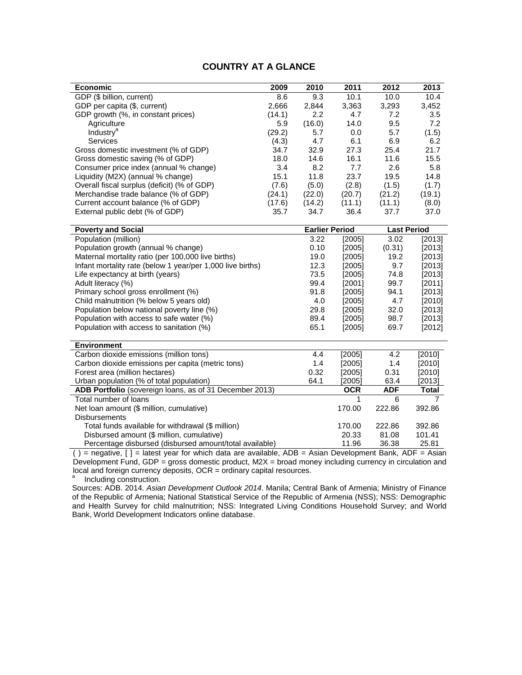#### **COUNTRY AT A GLANCE**

| <b>Economic</b>                                            | 2009                                               | 2010                  | 2011       | 2012               | 2013         |
|------------------------------------------------------------|----------------------------------------------------|-----------------------|------------|--------------------|--------------|
| GDP (\$ billion, current)                                  | 8.6                                                | 9.3                   | 10.1       | 10.0               | 10.4         |
| GDP per capita (\$, current)                               | 2,666                                              | 2,844                 | 3,363      | 3,293              | 3,452        |
| GDP growth (%, in constant prices)                         | (14.1)                                             | 2.2                   | 4.7        | 7.2                | 3.5          |
| Agriculture                                                | 5.9                                                | (16.0)                | 14.0       | 9.5                | 7.2          |
| <b>Industry<sup>a</sup></b>                                | (29.2)                                             | 5.7                   | 0.0        | 5.7                | (1.5)        |
| Services                                                   | (4.3)                                              | 4.7                   | 6.1        | 6.9                | 6.2          |
| Gross domestic investment (% of GDP)                       | 34.7                                               | 32.9                  | 27.3       | 25.4               | 21.7         |
| Gross domestic saving (% of GDP)                           | 18.0                                               | 14.6                  | 16.1       | 11.6               | 15.5         |
| Consumer price index (annual % change)                     | 3.4                                                | 8.2                   | 7.7        | 2.6                | 5.8          |
| Liquidity (M2X) (annual % change)                          | 15.1                                               | 11.8                  | 23.7       | 19.5               | 14.8         |
| Overall fiscal surplus (deficit) (% of GDP)                | (7.6)                                              | (5.0)                 | (2.8)      | (1.5)              | (1.7)        |
| Merchandise trade balance (% of GDP)                       | (24.1)                                             | (22.0)                | (20.7)     | (21.2)             | (19.1)       |
| Current account balance (% of GDP)                         | (17.6)                                             | (14.2)                | (11.1)     | (11.1)             | (8.0)        |
| External public debt (% of GDP)                            | 35.7                                               | 34.7                  | 36.4       | 37.7               | 37.0         |
|                                                            |                                                    |                       |            |                    |              |
| <b>Poverty and Social</b>                                  |                                                    | <b>Earlier Period</b> |            | <b>Last Period</b> |              |
| Population (million)                                       |                                                    | 3.22                  | [2005]     | 3.02               | [2013]       |
| Population growth (annual % change)                        |                                                    | 0.10                  | [2005]     | (0.31)             | [2013]       |
| Maternal mortality ratio (per 100,000 live births)         |                                                    | 19.0                  | [2005]     | 19.2               | [2013]       |
| Infant mortality rate (below 1 year/per 1,000 live births) |                                                    | 12.3                  | [2005]     | 9.7                | [2013]       |
| Life expectancy at birth (years)                           |                                                    | 73.5                  | [2005]     | 74.8               | [2013]       |
| Adult literacy (%)                                         |                                                    | 99.4                  | [2001]     | 99.7               | [2011]       |
| Primary school gross enrollment (%)                        |                                                    | 91.8                  | [2005]     | 94.1               | [2013]       |
| Child malnutrition (% below 5 years old)                   |                                                    | 4.0                   | [2005]     | 4.7                | [2010]       |
|                                                            | Population below national poverty line (%)<br>29.8 |                       | [2005]     | 32.0               | [2013]       |
| Population with access to safe water (%)                   |                                                    | 89.4                  | [2005]     | 98.7               | [2013]       |
| Population with access to sanitation (%)<br>65.1           |                                                    |                       | [2005]     | 69.7               | [2012]       |
|                                                            |                                                    |                       |            |                    |              |
| <b>Environment</b>                                         |                                                    |                       |            |                    |              |
| Carbon dioxide emissions (million tons)                    |                                                    | 4.4                   | [2005]     | 4.2                | [2010]       |
| Carbon dioxide emissions per capita (metric tons)<br>1.4   |                                                    | [2005]                | 1.4        | [2010]             |              |
| Forest area (million hectares)<br>0.32                     |                                                    | [2005]                | 0.31       | [2010]             |              |
| Urban population (% of total population)<br>64.1           |                                                    |                       | [2005]     | 63.4               | [2013]       |
| ADB Portfolio (sovereign loans, as of 31 December 2013)    |                                                    |                       | <b>OCR</b> | <b>ADF</b>         | <b>Total</b> |
| Total number of loans                                      |                                                    | 1                     | 6          | 7                  |              |
| Net loan amount (\$ million, cumulative)                   |                                                    |                       | 170.00     | 222.86             | 392.86       |
| <b>Disbursements</b>                                       |                                                    |                       |            |                    |              |
| Total funds available for withdrawal (\$ million)          |                                                    | 170.00                | 222.86     | 392.86             |              |
| Disbursed amount (\$ million, cumulative)                  |                                                    | 20.33                 | 81.08      | 101.41             |              |
| Percentage disbursed (disbursed amount/total available)    |                                                    | 11.96                 | 36.38      | 25.81              |              |

( ) = negative, [ ] = latest year for which data are available, ADB = Asian Development Bank, ADF = Asian Development Fund, GDP = gross domestic product, M2X = broad money including currency in circulation and local and foreign currency deposits, OCR = ordinary capital resources. a

Including construction.

Sources: ADB. 2014. *Asian Development Outlook 2014*. Manila; Central Bank of Armenia; Ministry of Finance of the Republic of Armenia; National Statistical Service of the Republic of Armenia (NSS); NSS: Demographic and Health Survey for child malnutrition; NSS: Integrated Living Conditions Household Survey; and World Bank, World Development Indicators online database.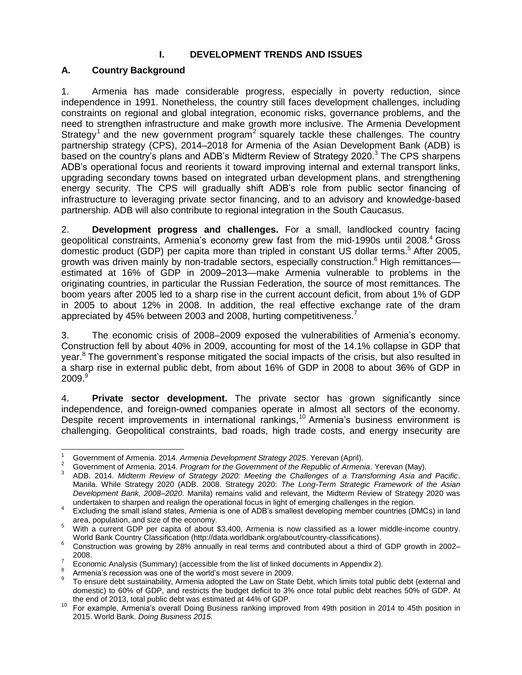#### **I. DEVELOPMENT TRENDS AND ISSUES**

## <span id="page-5-1"></span><span id="page-5-0"></span>**A. Country Background**

1. Armenia has made considerable progress, especially in poverty reduction, since independence in 1991. Nonetheless, the country still faces development challenges, including constraints on regional and global integration, economic risks, governance problems, and the need to strengthen infrastructure and make growth more inclusive. The Armenia Development Strategy<sup>1</sup> and the new government program<sup>2</sup> squarely tackle these challenges. The country partnership strategy (CPS), 2014–2018 for Armenia of the Asian Development Bank (ADB) is based on the country's plans and ADB's Midterm Review of Strategy 2020.<sup>3</sup> The CPS sharpens ADB's operational focus and reorients it toward improving internal and external transport links, upgrading secondary towns based on integrated urban development plans, and strengthening energy security. The CPS will gradually shift ADB's role from public sector financing of infrastructure to leveraging private sector financing, and to an advisory and knowledge-based partnership. ADB will also contribute to regional integration in the South Caucasus.

2. **Development progress and challenges.** For a small, landlocked country facing geopolitical constraints, Armenia's economy grew fast from the mid-1990s until 2008.<sup>4</sup> Gross domestic product (GDP) per capita more than tripled in constant US dollar terms. <sup>5</sup> After 2005, growth was driven mainly by non-tradable sectors, especially construction.<sup>6</sup> High remittances estimated at 16% of GDP in 2009–2013—make Armenia vulnerable to problems in the originating countries, in particular the Russian Federation, the source of most remittances. The boom years after 2005 led to a sharp rise in the current account deficit, from about 1% of GDP in 2005 to about 12% in 2008. In addition, the real effective exchange rate of the dram appreciated by 45% between 2003 and 2008, hurting competitiveness.<sup>7</sup>

3. The economic crisis of 2008–2009 exposed the vulnerabilities of Armenia's economy. Construction fell by about 40% in 2009, accounting for most of the 14.1% collapse in GDP that year.<sup>8</sup> The government's response mitigated the social impacts of the crisis, but also resulted in a sharp rise in external public debt, from about 16% of GDP in 2008 to about 36% of GDP in  $2009.<sup>9</sup>$ 

4. **Private sector development.** The private sector has grown significantly since independence, and foreign-owned companies operate in almost all sectors of the economy. Despite recent improvements in international rankings,<sup>10</sup> Armenia's business environment is challenging. Geopolitical constraints, bad roads, high trade costs, and energy insecurity are

 $\mathbf{1}$ <sup>1</sup> Government of Armenia. 2014. *Armenia Development Strategy 2025*. Yerevan (April).

<sup>2</sup> Government of Armenia. 2014. *Program for the Government of the Republic of Armenia*. Yerevan (May).

<sup>3</sup> ADB. 2014. *Midterm Review of Strategy 2020: Meeting the Challenges of a Transforming Asia and Pacific*. Manila. While Strategy 2020 (ADB. 2008. Strategy 2020: *The Long-Term Strategic Framework of the Asian Development Bank, 2008–2020*. Manila) remains valid and relevant, the Midterm Review of Strategy 2020 was undertaken to sharpen and realign the operational focus in light of emerging challenges in the region.

<sup>4</sup> Excluding the small island states, Armenia is one of ADB's smallest developing member countries (DMCs) in land area, population, and size of the economy.

<sup>5</sup> With a current GDP per capita of about \$3,400, Armenia is now classified as a lower middle-income country. World Bank Country Classification [\(http://data.worldbank.org/about/country-classifications\)](http://data.worldbank.org/about/country-classifications).

<sup>6</sup> Construction was growing by 28% annually in real terms and contributed about a third of GDP growth in 2002– 2008.

<sup>7</sup> Economic Analysis (Summary) (accessible from the list of linked documents in Appendix 2).

<sup>8</sup> Armenia's recession was one of the world's most severe in 2009.

<sup>9</sup> To ensure debt sustainability, Armenia adopted the Law on State Debt, which limits total public debt (external and domestic) to 60% of GDP, and restricts the budget deficit to 3% once total public debt reaches 50% of GDP. At the end of 2013, total public debt was estimated at 44% of GDP.

<sup>10</sup> For example, Armenia's overall Doing Business ranking improved from 49th position in 2014 to 45th position in 2015. World Bank. *Doing Business 2015.*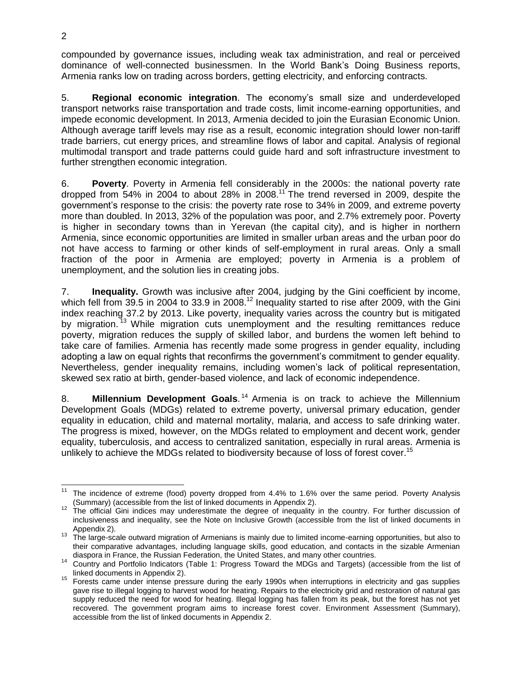compounded by governance issues, including weak tax administration, and real or perceived dominance of well-connected businessmen. In the World Bank's Doing Business reports, Armenia ranks low on trading across borders, getting electricity, and enforcing contracts.

5. **Regional economic integration**. The economy's small size and underdeveloped transport networks raise transportation and trade costs, limit income-earning opportunities, and impede economic development. In 2013, Armenia decided to join the Eurasian Economic Union. Although average tariff levels may rise as a result, economic integration should lower non-tariff trade barriers, cut energy prices, and streamline flows of labor and capital. Analysis of regional multimodal transport and trade patterns could guide hard and soft infrastructure investment to further strengthen economic integration.

6. **Poverty**. Poverty in Armenia fell considerably in the 2000s: the national poverty rate dropped from 54% in 2004 to about 28% in 2008.<sup>11</sup> The trend reversed in 2009, despite the government's response to the crisis: the poverty rate rose to 34% in 2009, and extreme poverty more than doubled. In 2013, 32% of the population was poor, and 2.7% extremely poor. Poverty is higher in secondary towns than in Yerevan (the capital city), and is higher in northern Armenia, since economic opportunities are limited in smaller urban areas and the urban poor do not have access to farming or other kinds of self-employment in rural areas. Only a small fraction of the poor in Armenia are employed; poverty in Armenia is a problem of unemployment, and the solution lies in creating jobs.

7. **Inequality.** Growth was inclusive after 2004, judging by the Gini coefficient by income, which fell from 39.5 in 2004 to 33.9 in 2008.<sup>12</sup> Inequality started to rise after 2009, with the Gini index reaching 37.2 by 2013. Like poverty, inequality varies across the country but is mitigated by migration.<sup>13</sup> While migration cuts unemployment and the resulting remittances reduce poverty, migration reduces the supply of skilled labor, and burdens the women left behind to take care of families. Armenia has recently made some progress in gender equality, including adopting a law on equal rights that reconfirms the government's commitment to gender equality. Nevertheless, gender inequality remains, including women's lack of political representation, skewed sex ratio at birth, gender-based violence, and lack of economic independence.

8. **Millennium Development Goals**. <sup>14</sup> Armenia is on track to achieve the Millennium Development Goals (MDGs) related to extreme poverty, universal primary education, gender equality in education, child and maternal mortality, malaria, and access to safe drinking water. The progress is mixed, however, on the MDGs related to employment and decent work, gender equality, tuberculosis, and access to centralized sanitation, especially in rural areas. Armenia is unlikely to achieve the MDGs related to biodiversity because of loss of forest cover.<sup>15</sup>

 $\overline{a}$ The incidence of extreme (food) poverty dropped from 4.4% to 1.6% over the same period. Poverty Analysis (Summary) (accessible from the list of linked documents in Appendix 2).

<sup>&</sup>lt;sup>12</sup> The official Gini indices may underestimate the degree of inequality in the country. For further discussion of inclusiveness and inequality, see the Note on Inclusive Growth (accessible from the list of linked documents in Appendix 2).

<sup>13</sup> The large-scale outward migration of Armenians is mainly due to limited income-earning opportunities, but also to their comparative advantages, including language skills, good education, and contacts in the sizable Armenian diaspora in France, the Russian Federation, the United States, and many other countries.

<sup>14</sup> Country and Portfolio Indicators (Table 1: Progress Toward the MDGs and Targets) (accessible from the list of linked documents in Appendix 2).

<sup>&</sup>lt;sup>15</sup> Forests came under intense pressure during the early 1990s when interruptions in electricity and gas supplies gave rise to illegal logging to harvest wood for heating. Repairs to the electricity grid and restoration of natural gas supply reduced the need for wood for heating. Illegal logging has fallen from its peak, but the forest has not yet recovered. The government program aims to increase forest cover. Environment Assessment (Summary), accessible from the list of linked documents in Appendix 2.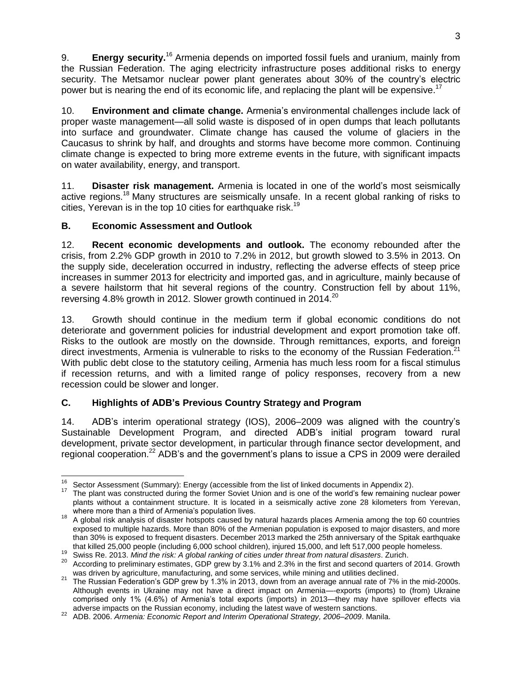9. **Energy security.**<sup>16</sup> Armenia depends on imported fossil fuels and uranium, mainly from the Russian Federation. The aging electricity infrastructure poses additional risks to energy security. The Metsamor nuclear power plant generates about 30% of the country's electric power but is nearing the end of its economic life, and replacing the plant will be expensive.<sup>17</sup>

10. **Environment and climate change.** Armenia's environmental challenges include lack of proper waste management—all solid waste is disposed of in open dumps that leach pollutants into surface and groundwater. Climate change has caused the volume of glaciers in the Caucasus to shrink by half, and droughts and storms have become more common. Continuing climate change is expected to bring more extreme events in the future, with significant impacts on water availability, energy, and transport.

11. **Disaster risk management.** Armenia is located in one of the world's most seismically active regions.<sup>18</sup> Many structures are seismically unsafe. In a recent global ranking of risks to cities, Yerevan is in the top 10 cities for earthquake risk.<sup>19</sup>

#### <span id="page-7-0"></span>**B. Economic Assessment and Outlook**

12. **Recent economic developments and outlook.** The economy rebounded after the crisis, from 2.2% GDP growth in 2010 to 7.2% in 2012, but growth slowed to 3.5% in 2013. On the supply side, deceleration occurred in industry, reflecting the adverse effects of steep price increases in summer 2013 for electricity and imported gas, and in agriculture, mainly because of a severe hailstorm that hit several regions of the country. Construction fell by about 11%, reversing 4.8% growth in 2012. Slower growth continued in 2014.<sup>20</sup>

13. Growth should continue in the medium term if global economic conditions do not deteriorate and government policies for industrial development and export promotion take off. Risks to the outlook are mostly on the downside. Through remittances, exports, and foreign direct investments, Armenia is vulnerable to risks to the economy of the Russian Federation.<sup>21</sup> With public debt close to the statutory ceiling, Armenia has much less room for a fiscal stimulus if recession returns, and with a limited range of policy responses, recovery from a new recession could be slower and longer.

## <span id="page-7-1"></span>**C. Highlights of ADB's Previous Country Strategy and Program**

14. ADB's interim operational strategy (IOS), 2006–2009 was aligned with the country's Sustainable Development Program, and directed ADB's initial program toward rural development, private sector development, in particular through finance sector development, and regional cooperation.<sup>22</sup> ADB's and the government's plans to issue a CPS in 2009 were derailed

 $\overline{a}$ <sup>16</sup> Sector Assessment (Summary): Energy (accessible from the list of linked documents in Appendix 2).

<sup>&</sup>lt;sup>17</sup> The plant was constructed during the former Soviet Union and is one of the world's few remaining nuclear power plants without a containment structure. It is located in a seismically active zone 28 kilometers from Yerevan, where more than a third of Armenia's population lives.

<sup>&</sup>lt;sup>18</sup> A global risk analysis of disaster hotspots caused by natural hazards places Armenia among the top 60 countries exposed to multiple hazards. More than 80% of the Armenian population is exposed to major disasters, and more than 30% is exposed to frequent disasters. December 2013 marked the 25th anniversary of the Spitak earthquake that killed 25,000 people (including 6,000 school children), injured 15,000, and left 517,000 people homeless.

<sup>19</sup> Swiss Re. 2013. *Mind the risk: A global ranking of cities under threat from natural disasters*. Zurich.

<sup>&</sup>lt;sup>20</sup> According to preliminary estimates, GDP grew by 3.1% and 2.3% in the first and second quarters of 2014. Growth was driven by agriculture, manufacturing, and some services, while mining and utilities declined.

<sup>&</sup>lt;sup>21</sup> The Russian Federation's GDP grew by 1.3% in 2013, down from an average annual rate of 7% in the mid-2000s. Although events in Ukraine may not have a direct impact on Armenia—-exports (imports) to (from) Ukraine comprised only 1% (4.6%) of Armenia's total exports (imports) in 2013—they may have spillover effects via adverse impacts on the Russian economy, including the latest wave of western sanctions.

<sup>22</sup> ADB. 2006. *Armenia: Economic Report and Interim Operational Strategy, 2006–2009*. Manila.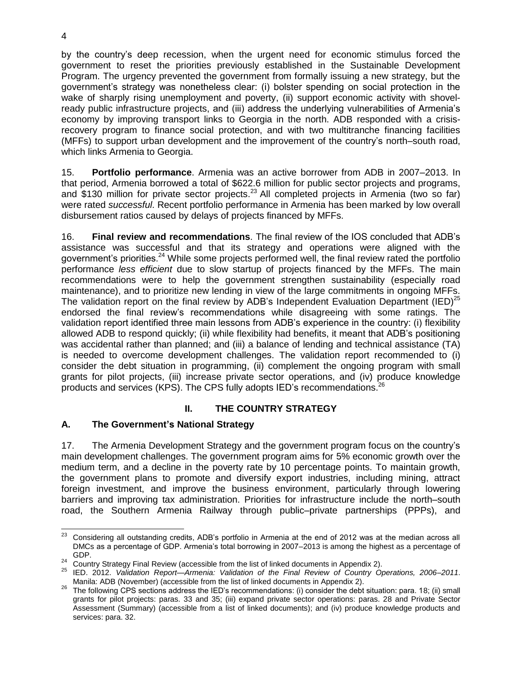by the country's deep recession, when the urgent need for economic stimulus forced the government to reset the priorities previously established in the Sustainable Development Program. The urgency prevented the government from formally issuing a new strategy, but the government's strategy was nonetheless clear: (i) bolster spending on social protection in the wake of sharply rising unemployment and poverty, (ii) support economic activity with shovelready public infrastructure projects, and (iii) address the underlying vulnerabilities of Armenia's economy by improving transport links to Georgia in the north. ADB responded with a crisisrecovery program to finance social protection, and with two multitranche financing facilities (MFFs) to support urban development and the improvement of the country's north–south road, which links Armenia to Georgia.

15. **Portfolio performance**. Armenia was an active borrower from ADB in 2007–2013. In that period, Armenia borrowed a total of \$622.6 million for public sector projects and programs, and \$130 million for private sector projects.<sup>23</sup> All completed projects in Armenia (two so far) were rated *successful*. Recent portfolio performance in Armenia has been marked by low overall disbursement ratios caused by delays of projects financed by MFFs.

16. **Final review and recommendations**. The final review of the IOS concluded that ADB's assistance was successful and that its strategy and operations were aligned with the government's priorities. $24$  While some projects performed well, the final review rated the portfolio performance *less efficient* due to slow startup of projects financed by the MFFs. The main recommendations were to help the government strengthen sustainability (especially road maintenance), and to prioritize new lending in view of the large commitments in ongoing MFFs. The validation report on the final review by ADB's Independent Evaluation Department (IED)<sup>25</sup> endorsed the final review's recommendations while disagreeing with some ratings. The validation report identified three main lessons from ADB's experience in the country: (i) flexibility allowed ADB to respond quickly; (ii) while flexibility had benefits, it meant that ADB's positioning was accidental rather than planned; and (iii) a balance of lending and technical assistance (TA) is needed to overcome development challenges. The validation report recommended to (i) consider the debt situation in programming, (ii) complement the ongoing program with small grants for pilot projects, (iii) increase private sector operations, and (iv) produce knowledge products and services (KPS). The CPS fully adopts IED's recommendations.<sup>26</sup>

## **II. THE COUNTRY STRATEGY**

## <span id="page-8-1"></span><span id="page-8-0"></span>**A. The Government's National Strategy**

17. The Armenia Development Strategy and the government program focus on the country's main development challenges. The government program aims for 5% economic growth over the medium term, and a decline in the poverty rate by 10 percentage points. To maintain growth, the government plans to promote and diversify export industries, including mining, attract foreign investment, and improve the business environment, particularly through lowering barriers and improving tax administration. Priorities for infrastructure include the north–south road, the Southern Armenia Railway through public–private partnerships (PPPs), and

 $23\,$ <sup>23</sup> Considering all outstanding credits, ADB's portfolio in Armenia at the end of 2012 was at the median across all DMCs as a percentage of GDP. Armenia's total borrowing in 2007–2013 is among the highest as a percentage of GDP.

<sup>&</sup>lt;sup>24</sup> Country Strategy Final Review (accessible from the list of linked documents in Appendix 2).

<sup>25</sup> IED. 2012. *Validation Report—Armenia: Validation of the Final Review of Country Operations, 2006–2011*. Manila: ADB (November) (accessible from the list of linked documents in Appendix 2).

 $26$  The following CPS sections address the IED's recommendations: (i) consider the debt situation: para. 18; (ii) small grants for pilot projects: paras. 33 and 35; (iii) expand private sector operations: paras. 28 and Private Sector Assessment (Summary) (accessible from a list of linked documents); and (iv) produce knowledge products and services: para. 32.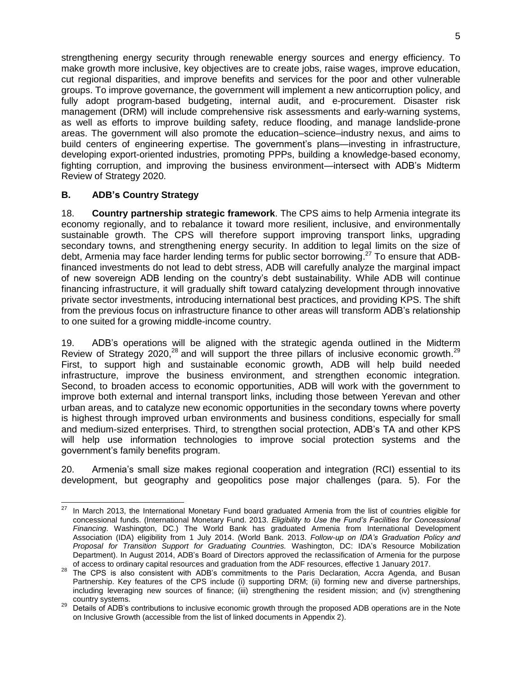strengthening energy security through renewable energy sources and energy efficiency. To make growth more inclusive, key objectives are to create jobs, raise wages, improve education, cut regional disparities, and improve benefits and services for the poor and other vulnerable groups. To improve governance, the government will implement a new anticorruption policy, and fully adopt program-based budgeting, internal audit, and e-procurement. Disaster risk management (DRM) will include comprehensive risk assessments and early-warning systems, as well as efforts to improve building safety, reduce flooding, and manage landslide-prone areas. The government will also promote the education–science–industry nexus, and aims to build centers of engineering expertise. The government's plans—investing in infrastructure, developing export-oriented industries, promoting PPPs, building a knowledge-based economy, fighting corruption, and improving the business environment—intersect with ADB's Midterm Review of Strategy 2020.

## <span id="page-9-0"></span>**B. ADB's Country Strategy**

18. **Country partnership strategic framework**. The CPS aims to help Armenia integrate its economy regionally, and to rebalance it toward more resilient, inclusive, and environmentally sustainable growth. The CPS will therefore support improving transport links, upgrading secondary towns, and strengthening energy security. In addition to legal limits on the size of debt, Armenia may face harder lending terms for public sector borrowing.<sup>27</sup> To ensure that ADBfinanced investments do not lead to debt stress, ADB will carefully analyze the marginal impact of new sovereign ADB lending on the country's debt sustainability. While ADB will continue financing infrastructure, it will gradually shift toward catalyzing development through innovative private sector investments, introducing international best practices, and providing KPS. The shift from the previous focus on infrastructure finance to other areas will transform ADB's relationship to one suited for a growing middle-income country.

19. ADB's operations will be aligned with the strategic agenda outlined in the Midterm Review of Strategy 2020,<sup>28</sup> and will support the three pillars of inclusive economic growth.<sup>29</sup> First, to support high and sustainable economic growth, ADB will help build needed infrastructure, improve the business environment, and strengthen economic integration. Second, to broaden access to economic opportunities, ADB will work with the government to improve both external and internal transport links, including those between Yerevan and other urban areas, and to catalyze new economic opportunities in the secondary towns where poverty is highest through improved urban environments and business conditions, especially for small and medium-sized enterprises. Third, to strengthen social protection, ADB's TA and other KPS will help use information technologies to improve social protection systems and the government's family benefits program.

20. Armenia's small size makes regional cooperation and integration (RCI) essential to its development, but geography and geopolitics pose major challenges (para. 5). For the

<sup>27</sup> In March 2013, the International Monetary Fund board graduated Armenia from the list of countries eligible for concessional funds. (International Monetary Fund. 2013. *Eligibility to Use the Fund's Facilities for Concessional Financing*. Washington, DC.) The World Bank has graduated Armenia from International Development Association (IDA) eligibility from 1 July 2014. (World Bank. 2013. *Follow-up on IDA's Graduation Policy and Proposal for Transition Support for Graduating Countries.* Washington, DC: IDA's Resource Mobilization Department). In August 2014, ADB's Board of Directors approved the reclassification of Armenia for the purpose of access to ordinary capital resources and graduation from the ADF resources, effective 1 January 2017.

<sup>&</sup>lt;sup>28</sup> The CPS is also consistent with ADB's commitments to the Paris Declaration, Accra Agenda, and Busan Partnership. Key features of the CPS include (i) supporting DRM; (ii) forming new and diverse partnerships, including leveraging new sources of finance; (iii) strengthening the resident mission; and (iv) strengthening country systems.

<sup>&</sup>lt;sup>29</sup> Details of ADB's contributions to inclusive economic growth through the proposed ADB operations are in the Note on Inclusive Growth (accessible from the list of linked documents in Appendix 2).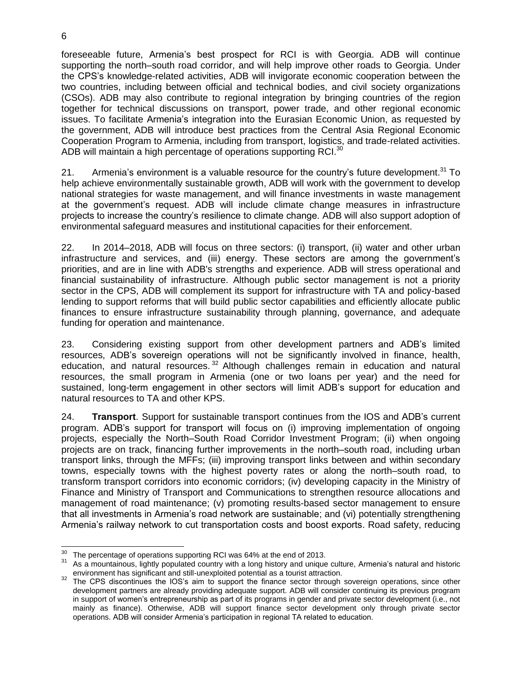foreseeable future, Armenia's best prospect for RCI is with Georgia. ADB will continue supporting the north–south road corridor, and will help improve other roads to Georgia. Under the CPS's knowledge-related activities, ADB will invigorate economic cooperation between the two countries, including between official and technical bodies, and civil society organizations (CSOs). ADB may also contribute to regional integration by bringing countries of the region together for technical discussions on transport, power trade, and other regional economic issues. To facilitate Armenia's integration into the Eurasian Economic Union, as requested by the government, ADB will introduce best practices from the Central Asia Regional Economic Cooperation Program to Armenia, including from transport, logistics, and trade-related activities. ADB will maintain a high percentage of operations supporting RCI. $^{30}$ 

21. Armenia's environment is a valuable resource for the country's future development.<sup>31</sup> To help achieve environmentally sustainable growth, ADB will work with the government to develop national strategies for waste management, and will finance investments in waste management at the government's request. ADB will include climate change measures in infrastructure projects to increase the country's resilience to climate change. ADB will also support adoption of environmental safeguard measures and institutional capacities for their enforcement.

22. In 2014–2018, ADB will focus on three sectors: (i) transport, (ii) water and other urban infrastructure and services, and (iii) energy. These sectors are among the government's priorities, and are in line with ADB's strengths and experience. ADB will stress operational and financial sustainability of infrastructure. Although public sector management is not a priority sector in the CPS, ADB will complement its support for infrastructure with TA and policy-based lending to support reforms that will build public sector capabilities and efficiently allocate public finances to ensure infrastructure sustainability through planning, governance, and adequate funding for operation and maintenance.

23. Considering existing support from other development partners and ADB's limited resources, ADB's sovereign operations will not be significantly involved in finance, health, education, and natural resources.<sup>32</sup> Although challenges remain in education and natural resources, the small program in Armenia (one or two loans per year) and the need for sustained, long-term engagement in other sectors will limit ADB's support for education and natural resources to TA and other KPS.

24. **Transport**. Support for sustainable transport continues from the IOS and ADB's current program. ADB's support for transport will focus on (i) improving implementation of ongoing projects, especially the North–South Road Corridor Investment Program; (ii) when ongoing projects are on track, financing further improvements in the north–south road, including urban transport links, through the MFFs; (iii) improving transport links between and within secondary towns, especially towns with the highest poverty rates or along the north–south road, to transform transport corridors into economic corridors; (iv) developing capacity in the Ministry of Finance and Ministry of Transport and Communications to strengthen resource allocations and management of road maintenance; (v) promoting results-based sector management to ensure that all investments in Armenia's road network are sustainable; and (vi) potentially strengthening Armenia's railway network to cut transportation costs and boost exports. Road safety, reducing

 $\overline{a}$  $30<sup>30</sup>$  The percentage of operations supporting RCI was 64% at the end of 2013.

<sup>&</sup>lt;sup>31</sup> As a mountainous, lightly populated country with a long history and unique culture, Armenia's natural and historic environment has significant and still-unexploited potential as a tourist attraction.

<sup>&</sup>lt;sup>32</sup> The CPS discontinues the IOS's aim to support the finance sector through sovereign operations, since other development partners are already providing adequate support. ADB will consider continuing its previous program in support of women's entrepreneurship as part of its programs in gender and private sector development (i.e., not mainly as finance). Otherwise, ADB will support finance sector development only through private sector operations. ADB will consider Armenia's participation in regional TA related to education.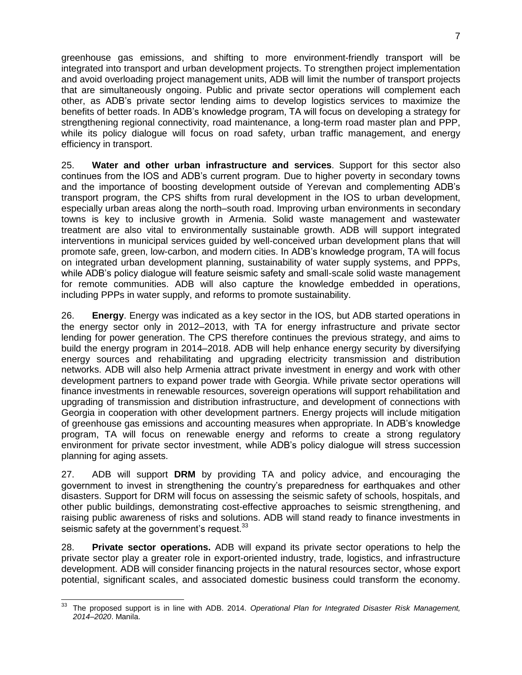greenhouse gas emissions, and shifting to more environment-friendly transport will be integrated into transport and urban development projects. To strengthen project implementation and avoid overloading project management units, ADB will limit the number of transport projects that are simultaneously ongoing. Public and private sector operations will complement each other, as ADB's private sector lending aims to develop logistics services to maximize the benefits of better roads. In ADB's knowledge program, TA will focus on developing a strategy for strengthening regional connectivity, road maintenance, a long-term road master plan and PPP, while its policy dialogue will focus on road safety, urban traffic management, and energy efficiency in transport.

25. **Water and other urban infrastructure and services**. Support for this sector also continues from the IOS and ADB's current program. Due to higher poverty in secondary towns and the importance of boosting development outside of Yerevan and complementing ADB's transport program, the CPS shifts from rural development in the IOS to urban development, especially urban areas along the north–south road. Improving urban environments in secondary towns is key to inclusive growth in Armenia. Solid waste management and wastewater treatment are also vital to environmentally sustainable growth. ADB will support integrated interventions in municipal services guided by well-conceived urban development plans that will promote safe, green, low-carbon, and modern cities. In ADB's knowledge program, TA will focus on integrated urban development planning, sustainability of water supply systems, and PPPs, while ADB's policy dialogue will feature seismic safety and small-scale solid waste management for remote communities. ADB will also capture the knowledge embedded in operations, including PPPs in water supply, and reforms to promote sustainability.

26. **Energy**. Energy was indicated as a key sector in the IOS, but ADB started operations in the energy sector only in 2012–2013, with TA for energy infrastructure and private sector lending for power generation. The CPS therefore continues the previous strategy, and aims to build the energy program in 2014–2018. ADB will help enhance energy security by diversifying energy sources and rehabilitating and upgrading electricity transmission and distribution networks. ADB will also help Armenia attract private investment in energy and work with other development partners to expand power trade with Georgia. While private sector operations will finance investments in renewable resources, sovereign operations will support rehabilitation and upgrading of transmission and distribution infrastructure, and development of connections with Georgia in cooperation with other development partners. Energy projects will include mitigation of greenhouse gas emissions and accounting measures when appropriate. In ADB's knowledge program, TA will focus on renewable energy and reforms to create a strong regulatory environment for private sector investment, while ADB's policy dialogue will stress succession planning for aging assets.

27. ADB will support **DRM** by providing TA and policy advice, and encouraging the government to invest in strengthening the country's preparedness for earthquakes and other disasters. Support for DRM will focus on assessing the seismic safety of schools, hospitals, and other public buildings, demonstrating cost-effective approaches to seismic strengthening, and raising public awareness of risks and solutions. ADB will stand ready to finance investments in seismic safety at the government's request.<sup>33</sup>

28. **Private sector operations.** ADB will expand its private sector operations to help the private sector play a greater role in export-oriented industry, trade, logistics, and infrastructure development. ADB will consider financing projects in the natural resources sector, whose export potential, significant scales, and associated domestic business could transform the economy.

 $\overline{a}$ <sup>33</sup> The proposed support is in line with ADB. 2014. *Operational Plan for Integrated Disaster Risk Management, 2014–2020*. Manila.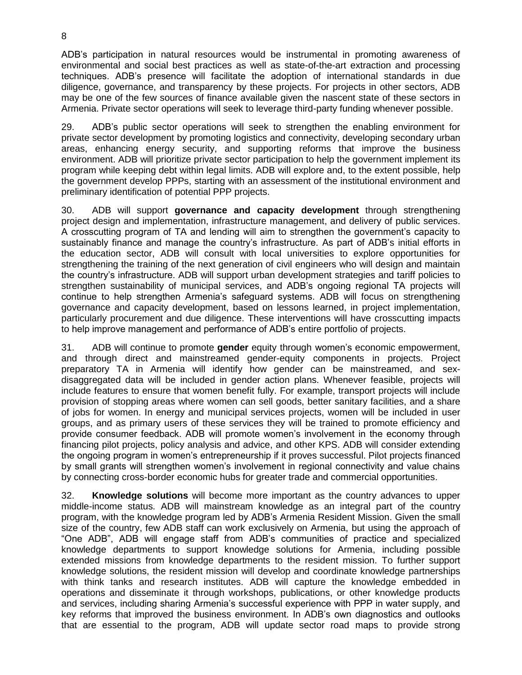ADB's participation in natural resources would be instrumental in promoting awareness of environmental and social best practices as well as state-of-the-art extraction and processing techniques. ADB's presence will facilitate the adoption of international standards in due diligence, governance, and transparency by these projects. For projects in other sectors, ADB may be one of the few sources of finance available given the nascent state of these sectors in Armenia. Private sector operations will seek to leverage third-party funding whenever possible.

29. ADB's public sector operations will seek to strengthen the enabling environment for private sector development by promoting logistics and connectivity, developing secondary urban areas, enhancing energy security, and supporting reforms that improve the business environment. ADB will prioritize private sector participation to help the government implement its program while keeping debt within legal limits. ADB will explore and, to the extent possible, help the government develop PPPs, starting with an assessment of the institutional environment and preliminary identification of potential PPP projects.

30. ADB will support **governance and capacity development** through strengthening project design and implementation, infrastructure management, and delivery of public services. A crosscutting program of TA and lending will aim to strengthen the government's capacity to sustainably finance and manage the country's infrastructure. As part of ADB's initial efforts in the education sector, ADB will consult with local universities to explore opportunities for strengthening the training of the next generation of civil engineers who will design and maintain the country's infrastructure. ADB will support urban development strategies and tariff policies to strengthen sustainability of municipal services, and ADB's ongoing regional TA projects will continue to help strengthen Armenia's safeguard systems. ADB will focus on strengthening governance and capacity development, based on lessons learned, in project implementation, particularly procurement and due diligence. These interventions will have crosscutting impacts to help improve management and performance of ADB's entire portfolio of projects.

31. ADB will continue to promote **gender** equity through women's economic empowerment, and through direct and mainstreamed gender-equity components in projects. Project preparatory TA in Armenia will identify how gender can be mainstreamed, and sexdisaggregated data will be included in gender action plans. Whenever feasible, projects will include features to ensure that women benefit fully. For example, transport projects will include provision of stopping areas where women can sell goods, better sanitary facilities, and a share of jobs for women. In energy and municipal services projects, women will be included in user groups, and as primary users of these services they will be trained to promote efficiency and provide consumer feedback. ADB will promote women's involvement in the economy through financing pilot projects, policy analysis and advice, and other KPS. ADB will consider extending the ongoing program in women's entrepreneurship if it proves successful. Pilot projects financed by small grants will strengthen women's involvement in regional connectivity and value chains by connecting cross-border economic hubs for greater trade and commercial opportunities.

32. **Knowledge solutions** will become more important as the country advances to upper middle-income status. ADB will mainstream knowledge as an integral part of the country program, with the knowledge program led by ADB's Armenia Resident Mission. Given the small size of the country, few ADB staff can work exclusively on Armenia, but using the approach of "One ADB", ADB will engage staff from ADB's communities of practice and specialized knowledge departments to support knowledge solutions for Armenia, including possible extended missions from knowledge departments to the resident mission. To further support knowledge solutions, the resident mission will develop and coordinate knowledge partnerships with think tanks and research institutes. ADB will capture the knowledge embedded in operations and disseminate it through workshops, publications, or other knowledge products and services, including sharing Armenia's successful experience with PPP in water supply, and key reforms that improved the business environment. In ADB's own diagnostics and outlooks that are essential to the program, ADB will update sector road maps to provide strong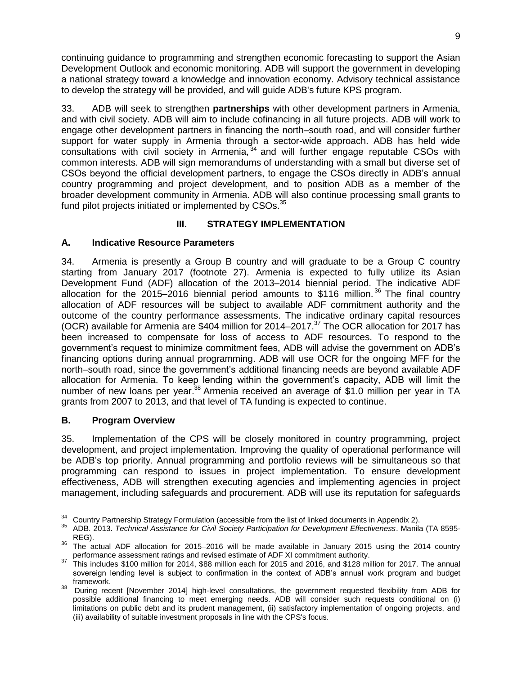continuing guidance to programming and strengthen economic forecasting to support the Asian Development Outlook and economic monitoring. ADB will support the government in developing a national strategy toward a knowledge and innovation economy. Advisory technical assistance to develop the strategy will be provided, and will guide ADB's future KPS program.

33. ADB will seek to strengthen **partnerships** with other development partners in Armenia, and with civil society. ADB will aim to include cofinancing in all future projects. ADB will work to engage other development partners in financing the north–south road, and will consider further support for water supply in Armenia through a sector-wide approach. ADB has held wide consultations with civil society in Armenia, 34 and will further engage reputable CSOs with common interests. ADB will sign memorandums of understanding with a small but diverse set of CSOs beyond the official development partners, to engage the CSOs directly in ADB's annual country programming and project development, and to position ADB as a member of the broader development community in Armenia. ADB will also continue processing small grants to fund pilot projects initiated or implemented by CSOs.<sup>35</sup>

## **III. STRATEGY IMPLEMENTATION**

## <span id="page-13-1"></span><span id="page-13-0"></span>**A. Indicative Resource Parameters**

34. Armenia is presently a Group B country and will graduate to be a Group C country starting from January 2017 (footnote 27). Armenia is expected to fully utilize its Asian Development Fund (ADF) allocation of the 2013–2014 biennial period. The indicative ADF allocation for the 2015–2016 biennial period amounts to \$116 million.<sup>36</sup> The final country allocation of ADF resources will be subject to available ADF commitment authority and the outcome of the country performance assessments. The indicative ordinary capital resources (OCR) available for Armenia are \$404 million for 2014–2017.<sup>37</sup> The OCR allocation for 2017 has been increased to compensate for loss of access to ADF resources. To respond to the government's request to minimize commitment fees, ADB will advise the government on ADB's financing options during annual programming. ADB will use OCR for the ongoing MFF for the north–south road, since the government's additional financing needs are beyond available ADF allocation for Armenia. To keep lending within the government's capacity, ADB will limit the number of new loans per year.<sup>38</sup> Armenia received an average of \$1.0 million per year in TA grants from 2007 to 2013, and that level of TA funding is expected to continue.

## <span id="page-13-2"></span>**B. Program Overview**

35. Implementation of the CPS will be closely monitored in country programming, project development, and project implementation. Improving the quality of operational performance will be ADB's top priority. Annual programming and portfolio reviews will be simultaneous so that programming can respond to issues in project implementation. To ensure development effectiveness, ADB will strengthen executing agencies and implementing agencies in project management, including safeguards and procurement. ADB will use its reputation for safeguards

  $34$  Country Partnership Strategy Formulation (accessible from the list of linked documents in Appendix 2).<br> $35$  APP 2012, Technical Appirituate for Civil Seciety Pertiningtion for Development Effectiveness, Marile

<sup>35</sup> ADB. 2013. *Technical Assistance for Civil Society Participation for Development Effectiveness*. Manila (TA 8595- REG).

<sup>&</sup>lt;sup>36</sup> The actual ADF allocation for 2015–2016 will be made available in January 2015 using the 2014 country performance assessment ratings and revised estimate of ADF XI commitment authority.

<sup>37</sup> This includes \$100 million for 2014, \$88 million each for 2015 and 2016, and \$128 million for 2017. The annual sovereign lending level is subject to confirmation in the context of ADB's annual work program and budget framework.

<sup>38</sup> During recent [November 2014] high-level consultations, the government requested flexibility from ADB for possible additional financing to meet emerging needs. ADB will consider such requests conditional on (i) limitations on public debt and its prudent management, (ii) satisfactory implementation of ongoing projects, and (iii) availability of suitable investment proposals in line with the CPS's focus.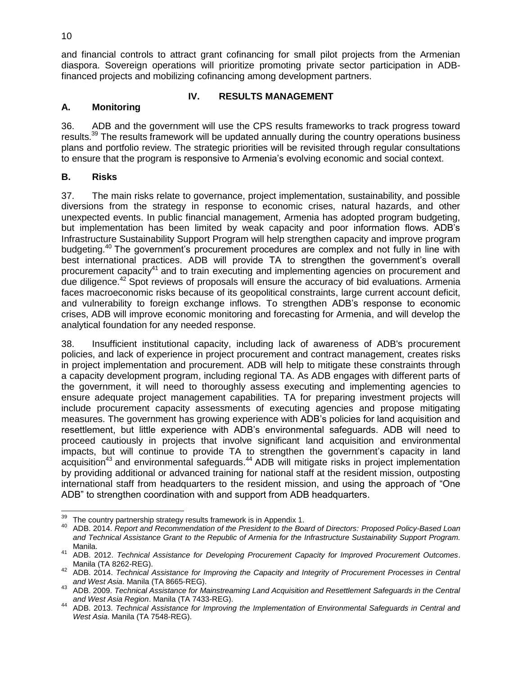and financial controls to attract grant cofinancing for small pilot projects from the Armenian diaspora. Sovereign operations will prioritize promoting private sector participation in ADBfinanced projects and mobilizing cofinancing among development partners.

#### **IV. RESULTS MANAGEMENT**

#### <span id="page-14-1"></span><span id="page-14-0"></span>**A. Monitoring**

36. ADB and the government will use the CPS results frameworks to track progress toward results.<sup>39</sup> The results framework will be updated annually during the country operations business plans and portfolio review. The strategic priorities will be revisited through regular consultations to ensure that the program is responsive to Armenia's evolving economic and social context.

#### <span id="page-14-2"></span>**B. Risks**

37. The main risks relate to governance, project implementation, sustainability, and possible diversions from the strategy in response to economic crises, natural hazards, and other unexpected events. In public financial management, Armenia has adopted program budgeting, but implementation has been limited by weak capacity and poor information flows. ADB's Infrastructure Sustainability Support Program will help strengthen capacity and improve program budgeting.<sup>40</sup> The government's procurement procedures are complex and not fully in line with best international practices. ADB will provide TA to strengthen the government's overall procurement capacity<sup>41</sup> and to train executing and implementing agencies on procurement and due diligence.<sup>42</sup> Spot reviews of proposals will ensure the accuracy of bid evaluations. Armenia faces macroeconomic risks because of its geopolitical constraints, large current account deficit, and vulnerability to foreign exchange inflows. To strengthen ADB's response to economic crises, ADB will improve economic monitoring and forecasting for Armenia, and will develop the analytical foundation for any needed response.

38. Insufficient institutional capacity, including lack of awareness of ADB's procurement policies, and lack of experience in project procurement and contract management, creates risks in project implementation and procurement. ADB will help to mitigate these constraints through a capacity development program, including regional TA. As ADB engages with different parts of the government, it will need to thoroughly assess executing and implementing agencies to ensure adequate project management capabilities. TA for preparing investment projects will include procurement capacity assessments of executing agencies and propose mitigating measures. The government has growing experience with ADB's policies for land acquisition and resettlement, but little experience with ADB's environmental safeguards. ADB will need to proceed cautiously in projects that involve significant land acquisition and environmental impacts, but will continue to provide TA to strengthen the government's capacity in land acquisition<sup>43</sup> and environmental safeguards.<sup>44</sup> ADB will mitigate risks in project implementation by providing additional or advanced training for national staff at the resident mission, outposting international staff from headquarters to the resident mission, and using the approach of "One ADB" to strengthen coordination with and support from ADB headquarters.

 The country partnership strategy results framework is in Appendix 1.

<sup>40</sup> ADB. 2014. *Report and Recommendation of the President to the Board of Directors: Proposed Policy-Based Loan and Technical Assistance Grant to the Republic of Armenia for the Infrastructure Sustainability Support Program.* Manila.

<sup>41</sup> ADB. 2012. *Technical Assistance for Developing Procurement Capacity for Improved Procurement Outcomes*. Manila (TA 8262-REG).

<sup>42</sup> ADB. 2014. *Technical Assistance for Improving the Capacity and Integrity of Procurement Processes in Central and West Asia*. Manila (TA 8665-REG).

<sup>43</sup> ADB. 2009. *Technical Assistance for Mainstreaming Land Acquisition and Resettlement Safeguards in the Central and West Asia Region*. Manila (TA 7433-REG).

<sup>44</sup> ADB. 2013. *Technical Assistance for Improving the Implementation of Environmental Safeguards in Central and West Asia*. Manila (TA 7548-REG).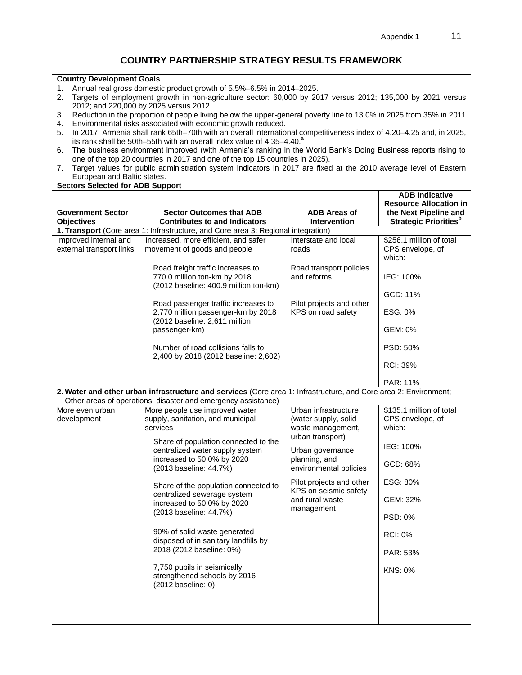## **COUNTRY PARTNERSHIP STRATEGY RESULTS FRAMEWORK**

**Country Development Goals**

| Annual real gross domestic product growth of 5.5%–6.5% in 2014–2025.<br>1.<br>Targets of employment growth in non-agriculture sector: 60,000 by 2017 versus 2012; 135,000 by 2021 versus<br>2. |                                                                                                                                                                                                            |                                                               |                                                        |  |  |
|------------------------------------------------------------------------------------------------------------------------------------------------------------------------------------------------|------------------------------------------------------------------------------------------------------------------------------------------------------------------------------------------------------------|---------------------------------------------------------------|--------------------------------------------------------|--|--|
|                                                                                                                                                                                                | 2012; and 220,000 by 2025 versus 2012.                                                                                                                                                                     |                                                               |                                                        |  |  |
| 3.                                                                                                                                                                                             | Reduction in the proportion of people living below the upper-general poverty line to 13.0% in 2025 from 35% in 2011.                                                                                       |                                                               |                                                        |  |  |
| 4.                                                                                                                                                                                             | Environmental risks associated with economic growth reduced.                                                                                                                                               |                                                               |                                                        |  |  |
| 5.                                                                                                                                                                                             | In 2017, Armenia shall rank 65th-70th with an overall international competitiveness index of 4.20-4.25 and, in 2025,<br>its rank shall be 50th-55th with an overall index value of 4.35-4.40. <sup>8</sup> |                                                               |                                                        |  |  |
| 6.                                                                                                                                                                                             | The business environment improved (with Armenia's ranking in the World Bank's Doing Business reports rising to                                                                                             |                                                               |                                                        |  |  |
|                                                                                                                                                                                                | one of the top 20 countries in 2017 and one of the top 15 countries in 2025).                                                                                                                              |                                                               |                                                        |  |  |
| 7.                                                                                                                                                                                             | Target values for public administration system indicators in 2017 are fixed at the 2010 average level of Eastern                                                                                           |                                                               |                                                        |  |  |
| European and Baltic states.                                                                                                                                                                    |                                                                                                                                                                                                            |                                                               |                                                        |  |  |
| <b>Sectors Selected for ADB Support</b>                                                                                                                                                        |                                                                                                                                                                                                            |                                                               |                                                        |  |  |
|                                                                                                                                                                                                |                                                                                                                                                                                                            |                                                               | <b>ADB Indicative</b>                                  |  |  |
| <b>Government Sector</b>                                                                                                                                                                       | <b>Sector Outcomes that ADB</b>                                                                                                                                                                            | <b>ADB Areas of</b>                                           | <b>Resource Allocation in</b><br>the Next Pipeline and |  |  |
| <b>Objectives</b>                                                                                                                                                                              | <b>Contributes to and Indicators</b>                                                                                                                                                                       | Intervention                                                  | <b>Strategic Priorities</b> <sup>b</sup>               |  |  |
|                                                                                                                                                                                                | 1. Transport (Core area 1: Infrastructure, and Core area 3: Regional integration)                                                                                                                          |                                                               |                                                        |  |  |
| Improved internal and                                                                                                                                                                          | Increased, more efficient, and safer                                                                                                                                                                       | Interstate and local                                          | \$256.1 million of total                               |  |  |
| external transport links                                                                                                                                                                       | movement of goods and people                                                                                                                                                                               | roads                                                         | CPS envelope, of<br>which:                             |  |  |
|                                                                                                                                                                                                | Road freight traffic increases to<br>770.0 million ton-km by 2018<br>(2012 baseline: 400.9 million ton-km)                                                                                                 | Road transport policies<br>and reforms                        | IEG: 100%                                              |  |  |
|                                                                                                                                                                                                |                                                                                                                                                                                                            |                                                               | GCD: 11%                                               |  |  |
|                                                                                                                                                                                                | Road passenger traffic increases to<br>2,770 million passenger-km by 2018<br>(2012 baseline: 2,611 million<br>passenger-km)                                                                                | Pilot projects and other<br>KPS on road safety                | ESG: 0%                                                |  |  |
|                                                                                                                                                                                                |                                                                                                                                                                                                            |                                                               | GEM: 0%                                                |  |  |
|                                                                                                                                                                                                | Number of road collisions falls to<br>2,400 by 2018 (2012 baseline: 2,602)                                                                                                                                 |                                                               | PSD: 50%                                               |  |  |
|                                                                                                                                                                                                |                                                                                                                                                                                                            |                                                               | <b>RCI: 39%</b>                                        |  |  |
|                                                                                                                                                                                                |                                                                                                                                                                                                            |                                                               | PAR: 11%                                               |  |  |
|                                                                                                                                                                                                | 2. Water and other urban infrastructure and services (Core area 1: Infrastructure, and Core area 2: Environment;<br>Other areas of operations: disaster and emergency assistance)                          |                                                               |                                                        |  |  |
| More even urban                                                                                                                                                                                | More people use improved water                                                                                                                                                                             | Urban infrastructure                                          | \$135.1 million of total                               |  |  |
| development                                                                                                                                                                                    | supply, sanitation, and municipal<br>services                                                                                                                                                              | (water supply, solid<br>waste management,<br>urban transport) | CPS envelope, of<br>which:                             |  |  |
|                                                                                                                                                                                                | Share of population connected to the<br>centralized water supply system<br>increased to 50.0% by 2020<br>(2013 baseline: 44.7%)                                                                            | Urban governance,<br>planning, and<br>environmental policies  | IEG: 100%                                              |  |  |
|                                                                                                                                                                                                |                                                                                                                                                                                                            |                                                               | GCD: 68%                                               |  |  |
|                                                                                                                                                                                                | Share of the population connected to                                                                                                                                                                       | Pilot projects and other<br>KPS on seismic safety             | ESG: 80%                                               |  |  |
|                                                                                                                                                                                                | centralized sewerage system<br>increased to 50.0% by 2020<br>(2013 baseline: 44.7%)                                                                                                                        | and rural waste<br>management                                 | GEM: 32%                                               |  |  |
|                                                                                                                                                                                                |                                                                                                                                                                                                            |                                                               | <b>PSD: 0%</b>                                         |  |  |
|                                                                                                                                                                                                | 90% of solid waste generated<br>disposed of in sanitary landfills by                                                                                                                                       |                                                               | <b>RCI: 0%</b>                                         |  |  |
|                                                                                                                                                                                                | 2018 (2012 baseline: 0%)                                                                                                                                                                                   |                                                               | PAR: 53%                                               |  |  |
|                                                                                                                                                                                                | 7,750 pupils in seismically<br>strengthened schools by 2016<br>(2012 baseline: 0)                                                                                                                          |                                                               | <b>KNS: 0%</b>                                         |  |  |
|                                                                                                                                                                                                |                                                                                                                                                                                                            |                                                               |                                                        |  |  |
|                                                                                                                                                                                                |                                                                                                                                                                                                            |                                                               |                                                        |  |  |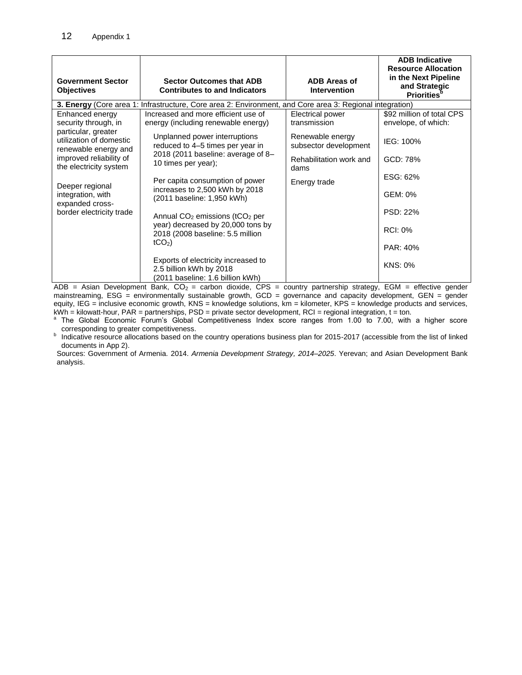| <b>Government Sector</b><br><b>Objectives</b>                                       | <b>Sector Outcomes that ADB</b><br><b>Contributes to and Indicators</b>                                                           | <b>ADB Areas of</b><br><b>Intervention</b> | <b>ADB Indicative</b><br><b>Resource Allocation</b><br>in the Next Pipeline<br>and Strategic<br><b>Priorities</b> <sup>p</sup> |
|-------------------------------------------------------------------------------------|-----------------------------------------------------------------------------------------------------------------------------------|--------------------------------------------|--------------------------------------------------------------------------------------------------------------------------------|
|                                                                                     | 3. Energy (Core area 1: Infrastructure, Core area 2: Environment, and Core area 3: Regional integration)                          |                                            |                                                                                                                                |
| Enhanced energy<br>security through, in                                             | Increased and more efficient use of<br>energy (including renewable energy)                                                        | <b>Electrical power</b><br>transmission    | \$92 million of total CPS<br>envelope, of which:                                                                               |
| particular, greater<br>utilization of domestic<br>renewable energy and              | Unplanned power interruptions<br>reduced to 4-5 times per year in                                                                 | Renewable energy<br>subsector development  | IEG: 100%                                                                                                                      |
| improved reliability of<br>the electricity system                                   | 2018 (2011 baseline: average of 8-<br>10 times per year);                                                                         | Rehabilitation work and<br>dams            | GCD: 78%                                                                                                                       |
| Deeper regional<br>integration, with<br>expanded cross-<br>border electricity trade | Per capita consumption of power                                                                                                   | Energy trade                               | ESG: 62%                                                                                                                       |
|                                                                                     | increases to 2,500 kWh by 2018<br>(2011 baseline: 1,950 kWh)                                                                      |                                            | GEM: 0%                                                                                                                        |
|                                                                                     | Annual $CO2$ emissions (tCO <sub>2</sub> per<br>year) decreased by 20,000 tons by<br>2018 (2008 baseline: 5.5 million<br>$tCO2$ ) |                                            | PSD: 22%                                                                                                                       |
|                                                                                     |                                                                                                                                   |                                            | <b>RCI: 0%</b>                                                                                                                 |
|                                                                                     |                                                                                                                                   |                                            | PAR: 40%                                                                                                                       |
|                                                                                     | Exports of electricity increased to<br>2.5 billion kWh by 2018<br>(2011 baseline: 1.6 billion kWh)                                |                                            | <b>KNS: 0%</b>                                                                                                                 |

ADB = Asian Development Bank,  $CO_2$  = carbon dioxide, CPS = country partnership strategy, EGM = effective gender mainstreaming, ESG = environmentally sustainable growth, GCD = governance and capacity development, GEN = gender equity, IEG = inclusive economic growth, KNS = knowledge solutions, km = kilometer, KPS = knowledge products and services,  $kWh =$  kilowatt-hour, PAR = partnerships, PSD = private sector development, RCI = regional integration,  $t =$  ton.

<sup>a</sup> The Global Economic Forum's Global Competitiveness Index score ranges from 1.00 to 7.00, with a higher score corresponding to greater competitiveness.

<sup>b</sup> Indicative resource allocations based on the country operations business plan for 2015-2017 (accessible from the list of linked documents in App 2).

Sources: Government of Armenia. 2014. *Armenia Development Strategy, 2014–2025*. Yerevan; and Asian Development Bank analysis.